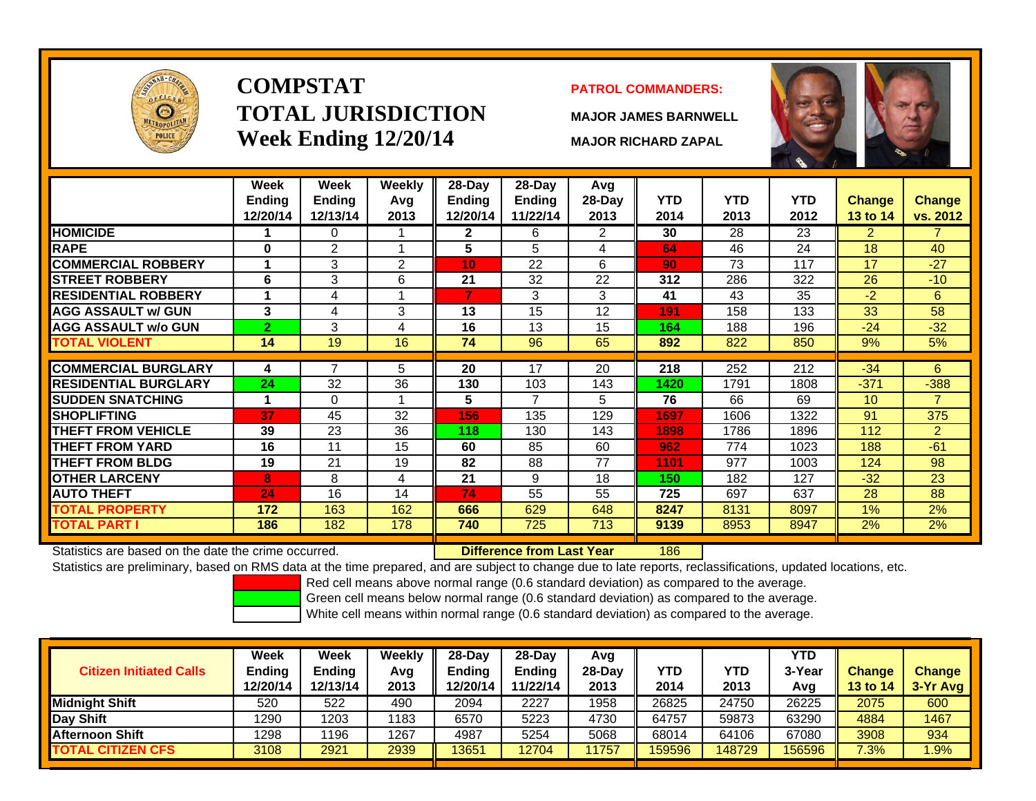

# **COMPSTATTOTAL JURISDICTIONWeek Ending 12/20/14 MAJOR RICHARD ZAPAL**

## **PATROL COMMANDERS:**

**MAJOR JAMES BARNWELL**



|                             | Week<br><b>Ending</b> | Week<br><b>Ending</b> | Weekly<br>Avg | 28-Day<br><b>Ending</b> | 28-Day<br><b>Ending</b> | Avg<br>$28-Day$ | <b>YTD</b> | <b>YTD</b> | <b>YTD</b> | <b>Change</b>   | Change         |
|-----------------------------|-----------------------|-----------------------|---------------|-------------------------|-------------------------|-----------------|------------|------------|------------|-----------------|----------------|
|                             | 12/20/14              | 12/13/14              | 2013          | 12/20/14                | 11/22/14                | 2013            | 2014       | 2013       | 2012       | <b>13 to 14</b> | vs. 2012       |
| <b>HOMICIDE</b>             |                       | 0                     |               | 2                       | 6                       | 2               | 30         | 28         | 23         | $\overline{2}$  |                |
| <b>RAPE</b>                 | $\bf{0}$              | 2                     |               | 5                       | 5                       | 4               | 64         | 46         | 24         | 18              | 40             |
| <b>COMMERCIAL ROBBERY</b>   |                       | 3                     | 2             | 10                      | 22                      | 6               | 90         | 73         | 117        | 17              | $-27$          |
| <b>STREET ROBBERY</b>       | 6                     | 3                     | 6             | 21                      | 32                      | 22              | 312        | 286        | 322        | 26              | $-10$          |
| <b>RESIDENTIAL ROBBERY</b>  |                       | 4                     |               |                         | 3                       | 3               | 41         | 43         | 35         | $-2$            | 6              |
| <b>AGG ASSAULT w/ GUN</b>   | 3                     | 4                     | 3             | 13                      | 15                      | 12              | 191        | 158        | 133        | 33              | 58             |
| <b>AGG ASSAULT w/o GUN</b>  | $\overline{2}$        | 3                     | 4             | 16                      | 13                      | 15              | 164        | 188        | 196        | $-24$           | $-32$          |
| <b>TOTAL VIOLENT</b>        | 14                    | 19                    | 16            | 74                      | 96                      | 65              | 892        | 822        | 850        | 9%              | 5%             |
|                             |                       | 7                     |               |                         |                         |                 |            |            |            |                 |                |
| <b>COMMERCIAL BURGLARY</b>  | 4                     |                       | 5             | 20                      | 17                      | 20              | 218        | 252        | 212        | $-34$           | 6.             |
| <b>RESIDENTIAL BURGLARY</b> | 24                    | 32                    | 36            | 130                     | 103                     | 143             | 1420       | 1791       | 1808       | $-371$          | $-388$         |
| <b>SUDDEN SNATCHING</b>     |                       | $\mathbf{0}$          |               | 5                       | 7                       | 5.              | 76         | 66         | 69         | 10 <sup>°</sup> |                |
| <b>ISHOPLIFTING</b>         | 37                    | 45                    | 32            | 156                     | 135                     | 129             | 1697       | 1606       | 1322       | 91              | 375            |
| <b>THEFT FROM VEHICLE</b>   | 39                    | 23                    | 36            | 118                     | 130                     | 143             | 1898       | 1786       | 1896       | 112             | $\overline{2}$ |
| <b>THEFT FROM YARD</b>      | 16                    | 11                    | 15            | 60                      | 85                      | 60              | 962        | 774        | 1023       | 188             | $-61$          |
| <b>THEFT FROM BLDG</b>      | 19                    | 21                    | 19            | 82                      | 88                      | 77              | 1101       | 977        | 1003       | 124             | 98             |
| <b>OTHER LARCENY</b>        | 8                     | 8                     | 4             | 21                      | 9                       | 18              | 150        | 182        | 127        | $-32$           | 23             |
| <b>AUTO THEFT</b>           | 24                    | 16                    | 14            | 74                      | 55                      | 55              | 725        | 697        | 637        | 28              | 88             |
| <b>TOTAL PROPERTY</b>       | 172                   | 163                   | 162           | 666                     | 629                     | 648             | 8247       | 8131       | 8097       | 1%              | 2%             |
| <b>TOTAL PART I</b>         | 186                   | 182                   | 178           | 740                     | 725                     | 713             | 9139       | 8953       | 8947       | 2%              | 2%             |

Statistics are based on the date the crime occurred. **Difference from Last Year** 

186

Statistics are preliminary, based on RMS data at the time prepared, and are subject to change due to late reports, reclassifications, updated locations, etc.

Red cell means above normal range (0.6 standard deviation) as compared to the average.

Green cell means below normal range (0.6 standard deviation) as compared to the average.

| <b>Citizen Initiated Calls</b> | Week<br>Ending<br>12/20/14 | <b>Week</b><br><b>Ending</b><br>12/13/14 | Weekly<br>Avg<br>2013 | $28-Dav$<br>Ending<br>2/20/14 | $28-Day$<br><b>Ending</b><br>11/22/14 | Avg<br>$28-Day$<br>2013 | YTD<br>2014 | YTD<br>2013 | YTD.<br>3-Year<br>Avg | <b>Change</b><br><b>13 to 14</b> | <b>Change</b><br>3-Yr Avg |
|--------------------------------|----------------------------|------------------------------------------|-----------------------|-------------------------------|---------------------------------------|-------------------------|-------------|-------------|-----------------------|----------------------------------|---------------------------|
| <b>I</b> Midniaht Shift        | 520                        | 522                                      | 490                   | 2094                          | 2227                                  | 1958                    | 26825       | 24750       | 26225                 | 2075                             | 600                       |
| Day Shift                      | 1290                       | 203                                      | 1183                  | 6570                          | 5223                                  | 4730                    | 64757       | 59873       | 63290                 | 4884                             | 1467                      |
| <b>Afternoon Shift</b>         | 1298                       | 196                                      | 1267                  | 4987                          | 5254                                  | 5068                    | 68014       | 64106       | 67080                 | 3908                             | 934                       |
| <b>TOTAL CITIZEN CFS</b>       | 3108                       | 2921                                     | 2939                  | 13651                         | 2704                                  | 1757                    | 159596      | 148729      | 156596                | 7.3%                             | 1.9%                      |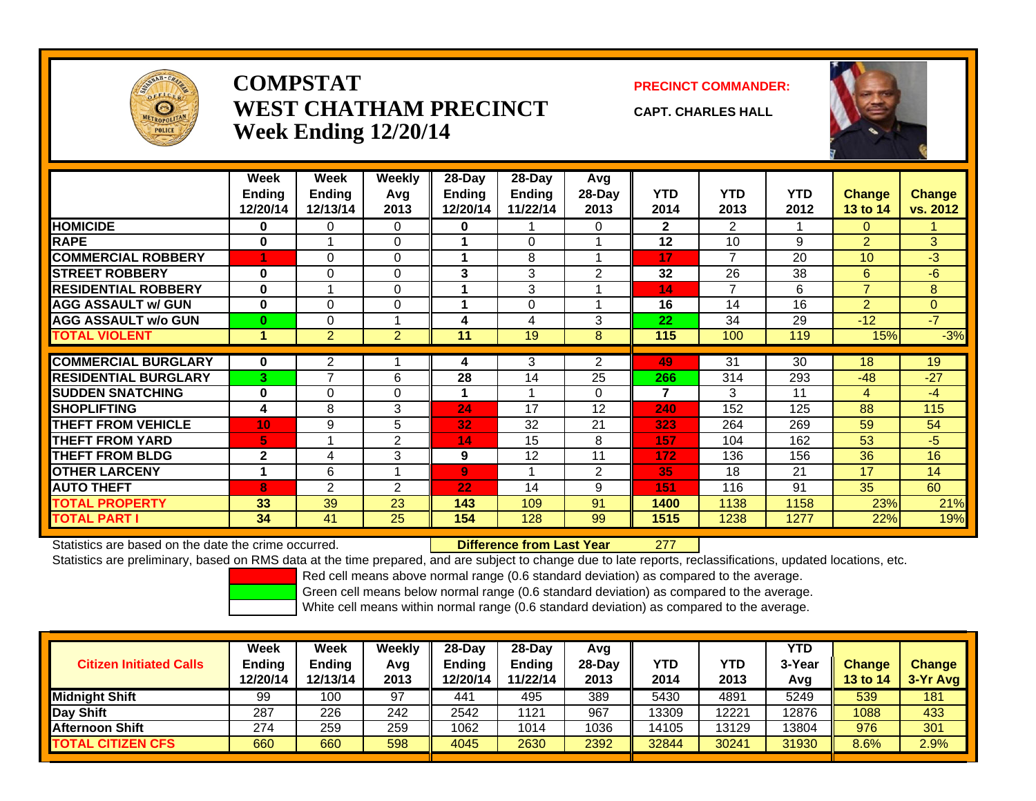

## **COMPSTATWEST CHATHAM PRECINCTWeek Ending 12/20/14**

**PRECINCT COMMANDER:**

**CAPT. CHARLES HALL**



|                             | Week          | Week           | <b>Weekly</b>  | $28-Day$       | 28-Day        | Avg            |              |                |            |                 |                |
|-----------------------------|---------------|----------------|----------------|----------------|---------------|----------------|--------------|----------------|------------|-----------------|----------------|
|                             | <b>Ending</b> | <b>Ending</b>  | Avg            | <b>Ending</b>  | <b>Ending</b> | 28-Day         | <b>YTD</b>   | <b>YTD</b>     | <b>YTD</b> | <b>Change</b>   | <b>Change</b>  |
|                             | 12/20/14      | 12/13/14       | 2013           | 12/20/14       | 11/22/14      | 2013           | 2014         | 2013           | 2012       | <b>13 to 14</b> | vs. 2012       |
| <b>HOMICIDE</b>             | 0             | 0              | 0              | 0              |               | $\Omega$       | $\mathbf{2}$ | $\overline{2}$ |            | $\Omega$        |                |
| <b>RAPE</b>                 | 0             |                | $\Omega$       |                | $\Omega$      |                | 12           | 10             | 9          | $\overline{2}$  | 3              |
| <b>COMMERCIAL ROBBERY</b>   | 1             | $\Omega$       | $\Omega$       |                | 8             |                | 17           | $\overline{7}$ | 20         | 10              | $-3$           |
| <b>STREET ROBBERY</b>       | $\bf{0}$      | $\Omega$       | $\Omega$       | 3              | 3             | $\overline{2}$ | 32           | 26             | 38         | 6               | $-6$           |
| <b>RESIDENTIAL ROBBERY</b>  | $\bf{0}$      | 4              | $\Omega$       |                | 3             |                | 14           | $\overline{7}$ | 6          | $\overline{7}$  | 8              |
| <b>AGG ASSAULT w/ GUN</b>   | $\bf{0}$      | $\Omega$       | $\Omega$       |                | $\Omega$      |                | 16           | 14             | 16         | $\overline{2}$  | $\overline{0}$ |
| <b>AGG ASSAULT w/o GUN</b>  | $\bf{0}$      | $\Omega$       | 4              | 4              | 4             | 3              | 22           | 34             | 29         | $-12$           | $-7$           |
| <b>TOTAL VIOLENT</b>        |               | $\overline{2}$ | $\overline{2}$ | 11             | 19            | 8              | 115          | 100            | 119        | 15%             | $-3%$          |
|                             |               |                |                |                |               |                |              |                |            |                 |                |
| <b>COMMERCIAL BURGLARY</b>  | $\bf{0}$      | 2              |                | 4              | 3             | $\overline{2}$ | 49           | 31             | 30         | 18              | 19             |
| <b>RESIDENTIAL BURGLARY</b> | 3             | $\overline{7}$ | 6              | 28             | 14            | 25             | 266          | 314            | 293        | $-48$           | $-27$          |
| <b>SUDDEN SNATCHING</b>     | $\bf{0}$      | $\Omega$       | $\Omega$       |                |               | $\Omega$       | 7            | 3              | 11         | 4               | $-4$           |
| <b>SHOPLIFTING</b>          | 4             | 8              | 3              | 24             | 17            | 12             | 240          | 152            | 125        | 88              | 115            |
| <b>THEFT FROM VEHICLE</b>   | 10            | 9              | 5              | 32             | 32            | 21             | 323          | 264            | 269        | 59              | 54             |
| <b>THEFT FROM YARD</b>      | 5             | 4              | 2              | 14             | 15            | 8              | 157          | 104            | 162        | 53              | $-5$           |
| <b>THEFT FROM BLDG</b>      | $\mathbf{2}$  | 4              | 3              | 9              | 12            | 11             | 172          | 136            | 156        | 36              | 16             |
| <b>OTHER LARCENY</b>        | 1             | 6              | 1              | $\overline{9}$ |               | $\overline{2}$ | 35           | 18             | 21         | 17              | 14             |
| <b>AUTO THEFT</b>           | 8             | $\overline{2}$ | 2              | 22             | 14            | 9              | 151          | 116            | 91         | 35              | 60             |
| <b>TOTAL PROPERTY</b>       | 33            | 39             | 23             | 143            | 109           | 91             | 1400         | 1138           | 1158       | 23%             | 21%            |
| <b>TOTAL PART I</b>         | 34            | 41             | 25             | 154            | 128           | 99             | 1515         | 1238           | 1277       | 22%             | 19%            |

Statistics are based on the date the crime occurred. **Difference from Last Year** 

277

Statistics are preliminary, based on RMS data at the time prepared, and are subject to change due to late reports, reclassifications, updated locations, etc.

Red cell means above normal range (0.6 standard deviation) as compared to the average.

Green cell means below normal range (0.6 standard deviation) as compared to the average.

| <b>Citizen Initiated Calls</b> | Week<br><b>Ending</b><br>12/20/14 | Week<br><b>Ending</b><br>12/13/14 | Weekly<br>Avg<br>2013 | $28-Day$<br><b>Ending</b><br>12/20/14 | $28-Day$<br><b>Ending</b><br>11/22/14 | Avg<br>28-Dav<br>2013 | YTD<br>2014 | <b>YTD</b><br>2013 | <b>YTD</b><br>3-Year<br>Avg | <b>Change</b><br><b>13 to 14</b> | <b>Change</b><br>3-Yr Avg |
|--------------------------------|-----------------------------------|-----------------------------------|-----------------------|---------------------------------------|---------------------------------------|-----------------------|-------------|--------------------|-----------------------------|----------------------------------|---------------------------|
| <b>Midnight Shift</b>          | 99                                | 100                               | 97                    | 441                                   | 495                                   | 389                   | 5430        | 4891               | 5249                        | 539                              | 181                       |
| Day Shift                      | 287                               | 226                               | 242                   | 2542                                  | 1121                                  | 967                   | 13309       | 12221              | 12876                       | 1088                             | 433                       |
| <b>Afternoon Shift</b>         | 274                               | 259                               | 259                   | 1062                                  | 1014                                  | 1036                  | 14105       | 13129              | 3804                        | 976                              | 301                       |
| <b>TOTAL CITIZEN CFS</b>       | 660                               | 660                               | 598                   | 4045                                  | 2630                                  | 2392                  | 32844       | 30241              | 31930                       | 8.6%                             | 2.9%                      |
|                                |                                   |                                   |                       |                                       |                                       |                       |             |                    |                             |                                  |                           |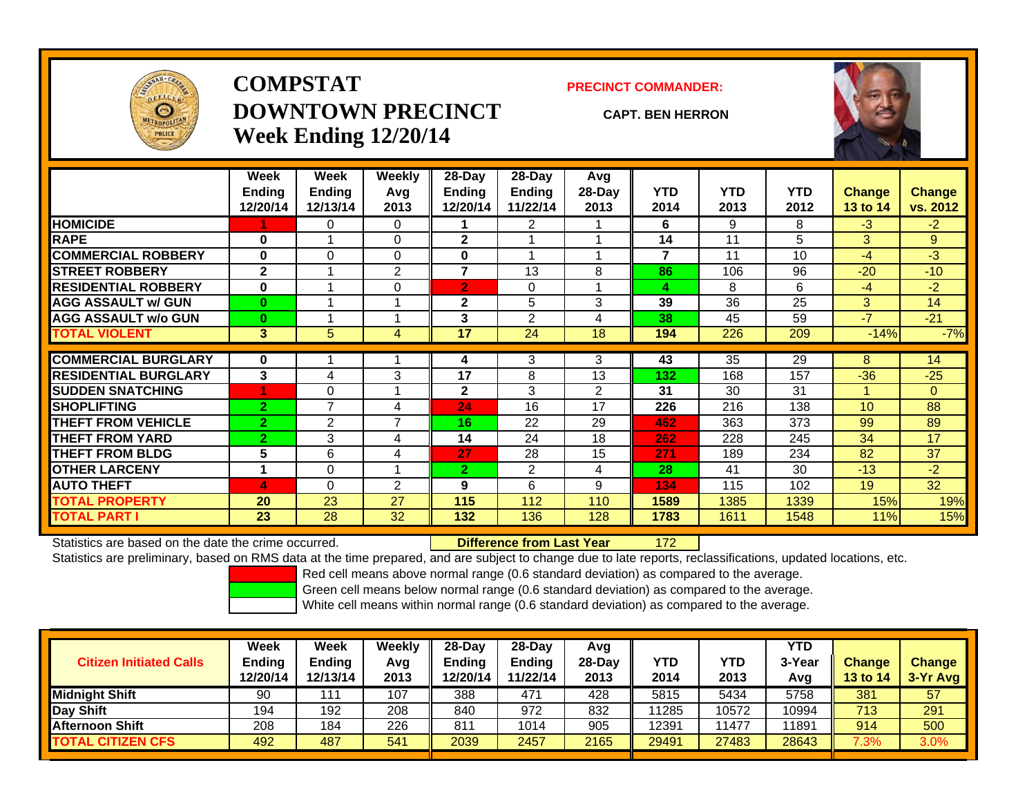

# **COMPSTATDOWNTOWN PRECINCTWeek Ending 12/20/14**

### **PRECINCT COMMANDER:**

### **CAPT. BEN HERRON**

172



|                             | Week           | Week           | Weekly         | 28-Day         | $28-Day$       | Avg            |                |            |            |                |                |
|-----------------------------|----------------|----------------|----------------|----------------|----------------|----------------|----------------|------------|------------|----------------|----------------|
|                             | <b>Ending</b>  | <b>Ending</b>  | Avg            | Ending         | <b>Ending</b>  | 28-Day         | <b>YTD</b>     | <b>YTD</b> | <b>YTD</b> | <b>Change</b>  | <b>Change</b>  |
|                             | 12/20/14       | 12/13/14       | 2013           | 12/20/14       | 11/22/14       | 2013           | 2014           | 2013       | 2012       | 13 to 14       | vs. 2012       |
| <b>HOMICIDE</b>             |                | 0              | 0              |                | 2              |                | 6              | 9          | 8          | $-3$           | $-2$           |
| <b>RAPE</b>                 | 0              |                | $\mathbf 0$    | $\mathbf{2}$   |                |                | 14             | 11         | 5          | 3              | 9              |
| <b>COMMERCIAL ROBBERY</b>   | $\bf{0}$       | 0              | $\Omega$       | 0              |                |                | $\overline{7}$ | 11         | 10         | $-4$           | $-3$           |
| <b>ISTREET ROBBERY</b>      | $\mathbf{2}$   |                | 2              | 7              | 13             | 8              | 86             | 106        | 96         | $-20$          | $-10$          |
| <b>RESIDENTIAL ROBBERY</b>  | $\bf{0}$       |                | $\mathbf 0$    | $\overline{2}$ | 0              |                | 4              | 8          | 6          | $-4$           | $-2$           |
| <b>AGG ASSAULT w/ GUN</b>   | $\bf{0}$       |                |                | $\mathbf{2}$   | 5              | 3              | 39             | 36         | 25         | $\overline{3}$ | 14             |
| <b>AGG ASSAULT w/o GUN</b>  | $\bf{0}$       |                |                | 3              | 2              | 4              | 38             | 45         | 59         | $-7$           | $-21$          |
| <b>TOTAL VIOLENT</b>        | $3\phantom{a}$ | 5              | 4              | 17             | 24             | 18             | 194            | 226        | 209        | $-14%$         | $-7%$          |
| <b>COMMERCIAL BURGLARY</b>  | 0              |                |                | 4              | 3              | 3              | 43             | 35         | 29         | 8              | 14             |
| <b>RESIDENTIAL BURGLARY</b> | 3              | 4              | 3              | 17             | 8              | 13             | 132            | 168        | 157        | $-36$          | $-25$          |
|                             |                |                |                |                |                |                |                |            |            |                |                |
| <b>SUDDEN SNATCHING</b>     |                | 0              |                | $\mathbf{2}$   | 3              | $\overline{2}$ | 31             | 30         | 31         |                | $\overline{0}$ |
| <b>SHOPLIFTING</b>          | $\overline{2}$ | 7              | 4              | 24             | 16             | 17             | 226            | 216        | 138        | 10             | 88             |
| <b>THEFT FROM VEHICLE</b>   | $\overline{2}$ | $\overline{2}$ | $\overline{ }$ | 16             | 22             | 29             | 462            | 363        | 373        | 99             | 89             |
| <b>THEFT FROM YARD</b>      | $\overline{2}$ | 3              | 4              | 14             | 24             | 18             | 262            | 228        | 245        | 34             | 17             |
| <b>THEFT FROM BLDG</b>      | 5              | 6              | 4              | 27             | 28             | 15             | 271            | 189        | 234        | 82             | 37             |
| <b>OTHER LARCENY</b>        | 1              | 0              |                | $\overline{2}$ | $\overline{2}$ | 4              | 28             | 41         | 30         | $-13$          | $-2$           |
| <b>AUTO THEFT</b>           | 4              | 0              | 2              | 9              | 6              | 9              | 134            | 115        | 102        | 19             | 32             |
| <b>TOTAL PROPERTY</b>       | 20             | 23             | 27             | 115            | 112            | 110            | 1589           | 1385       | 1339       | 15%            | 19%            |
| <b>TOTAL PART I</b>         | 23             | 28             | 32             | 132            | 136            | 128            | 1783           | 1611       | 1548       | 11%            | 15%            |

Statistics are based on the date the crime occurred. **Difference from Last Year** 

Statistics are preliminary, based on RMS data at the time prepared, and are subject to change due to late reports, reclassifications, updated locations, etc.

Red cell means above normal range (0.6 standard deviation) as compared to the average.

Green cell means below normal range (0.6 standard deviation) as compared to the average.

| <b>Citizen Initiated Calls</b> | <b>Week</b><br><b>Ending</b><br>12/20/14 | Week<br>Ending<br>12/13/14 | Weekly<br>Avg<br>2013 | $28-Dav$<br><b>Endina</b><br>12/20/14 | 28-Day<br><b>Ending</b><br>11/22/14 | Avg<br>$28-Dav$<br>2013 | <b>YTD</b><br>2014 | <b>YTD</b><br>2013 | <b>YTD</b><br>3-Year<br>Avg | <b>Change</b><br><b>13 to 14</b> | Change<br>$3-Yr$ Avg |
|--------------------------------|------------------------------------------|----------------------------|-----------------------|---------------------------------------|-------------------------------------|-------------------------|--------------------|--------------------|-----------------------------|----------------------------------|----------------------|
| <b>Midnight Shift</b>          | 90                                       | 111                        | 107                   | 388                                   | 471                                 | 428                     | 5815               | 5434               | 5758                        | 381                              | 57                   |
| Day Shift                      | 194                                      | 192                        | 208                   | 840                                   | 972                                 | 832                     | 11285              | 10572              | 10994                       | 713                              | 291                  |
| <b>Afternoon Shift</b>         | 208                                      | 184                        | 226                   | 811                                   | 1014                                | 905                     | 12391              | 11477              | 11891                       | 914                              | 500                  |
| <b>TOTAL CITIZEN CFS</b>       | 492                                      | 487                        | 541                   | 2039                                  | 2457                                | 2165                    | 29491              | 27483              | 28643                       | 7.3%                             | 3.0%                 |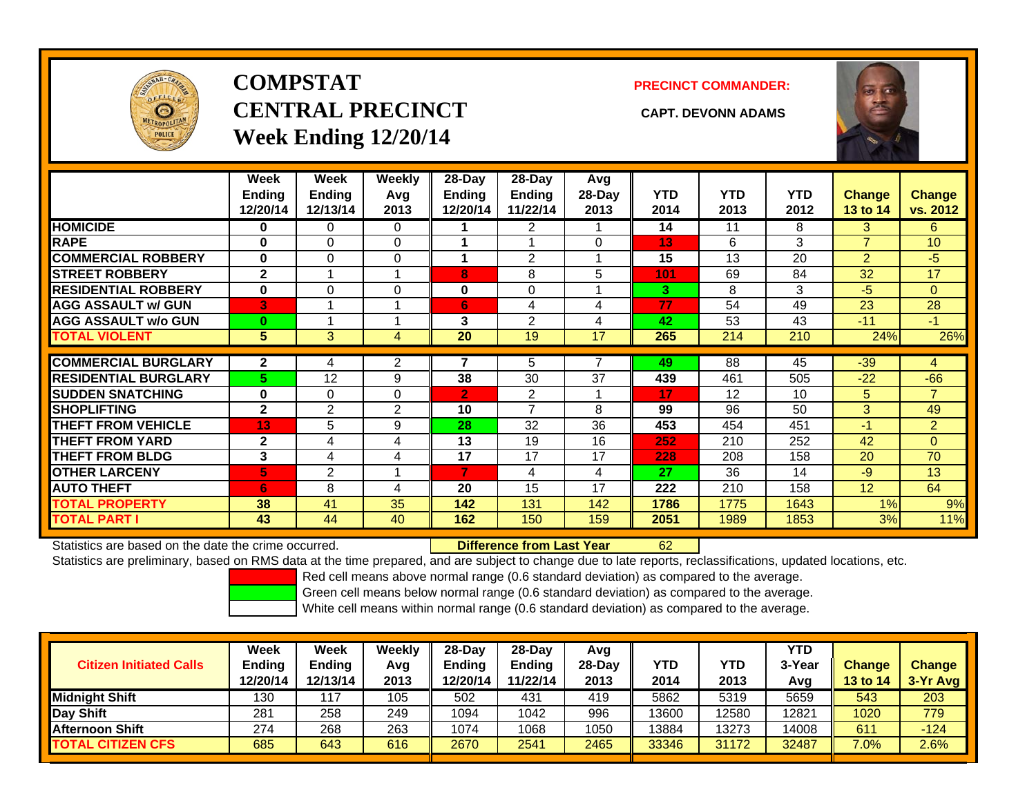

# **COMPSTATCENTRAL PRECINCT CAPT. DEVONN ADAMSWeek Ending 12/20/14**

**PRECINCT COMMANDER:**



|                             | Week<br><b>Ending</b><br>12/20/14 | Week<br><b>Ending</b><br>12/13/14 | Weekly<br>Avg<br>2013 | $28-Day$<br><b>Ending</b><br>12/20/14 | $28-Day$<br><b>Ending</b><br>11/22/14 | Avg<br>$28-Day$<br>2013 | <b>YTD</b><br>2014 | <b>YTD</b><br>2013 | <b>YTD</b><br>2012 | <b>Change</b><br>13 to 14 | Change<br>vs. 2012 |
|-----------------------------|-----------------------------------|-----------------------------------|-----------------------|---------------------------------------|---------------------------------------|-------------------------|--------------------|--------------------|--------------------|---------------------------|--------------------|
| <b>HOMICIDE</b>             | 0                                 | 0                                 | 0                     |                                       | 2                                     |                         | 14                 | 11                 | 8                  | 3                         | 6.                 |
| <b>RAPE</b>                 | $\bf{0}$                          | $\Omega$                          | $\Omega$              |                                       |                                       | $\Omega$                | 13                 | 6                  | 3                  | $\overline{7}$            | 10                 |
| <b>COMMERCIAL ROBBERY</b>   | $\bf{0}$                          | 0                                 | $\Omega$              |                                       | 2                                     |                         | 15                 | 13                 | 20                 | 2                         | $-5$               |
| <b>STREET ROBBERY</b>       | $\mathbf{2}$                      |                                   | $\overline{1}$        | 8                                     | 8                                     | 5                       | 101                | 69                 | 84                 | 32                        | 17                 |
| <b>RESIDENTIAL ROBBERY</b>  | $\bf{0}$                          | $\Omega$                          | $\Omega$              | 0                                     | $\Omega$                              |                         | 3.                 | 8                  | 3                  | $-5$                      | $\overline{0}$     |
| <b>AGG ASSAULT w/ GUN</b>   | 3                                 |                                   | 1                     | 6                                     | 4                                     | 4                       | 77                 | 54                 | 49                 | 23                        | 28                 |
| <b>AGG ASSAULT w/o GUN</b>  | $\bf{0}$                          |                                   | 1                     | 3                                     | 2                                     | 4                       | 42                 | 53                 | 43                 | $-11$                     | -1                 |
| <b>TOTAL VIOLENT</b>        | 5                                 | 3                                 | 4                     | 20                                    | 19                                    | 17                      | 265                | 214                | 210                | 24%                       | 26%                |
|                             |                                   |                                   |                       |                                       |                                       |                         |                    |                    |                    |                           |                    |
| <b>COMMERCIAL BURGLARY</b>  | $\mathbf{2}$                      | 4                                 | 2                     |                                       | 5                                     |                         | 49                 | $\overline{88}$    | 45                 | $-39$                     | 4                  |
| <b>RESIDENTIAL BURGLARY</b> | 5.                                | 12                                | 9                     | 38                                    | 30                                    | 37                      | 439                | 461                | 505                | $-22$                     | $-66$              |
| <b>SUDDEN SNATCHING</b>     | 0                                 | 0                                 | 0                     | $\overline{2}$                        | 2                                     |                         | 17                 | 12                 | 10                 | 5                         | $\overline{7}$     |
| <b>SHOPLIFTING</b>          | $\mathbf{2}$                      | $\overline{2}$                    | 2                     | 10                                    | 7                                     | 8                       | 99                 | 96                 | 50                 | 3                         | 49                 |
| <b>THEFT FROM VEHICLE</b>   | 13                                | 5                                 | 9                     | 28                                    | 32                                    | 36                      | 453                | 454                | 451                | $-1$                      | $\overline{2}$     |
| <b>THEFT FROM YARD</b>      | $\mathbf{2}$                      | 4                                 | 4                     | 13                                    | 19                                    | 16                      | 252                | 210                | 252                | 42                        | $\overline{0}$     |
| <b>THEFT FROM BLDG</b>      | 3                                 | 4                                 | 4                     | 17                                    | 17                                    | 17                      | 228                | 208                | 158                | 20                        | 70                 |
| <b>OTHER LARCENY</b>        | 5                                 | $\overline{2}$                    | 1                     |                                       | 4                                     | 4                       | 27                 | 36                 | 14                 | $-9$                      | 13                 |
| <b>AUTO THEFT</b>           | 6                                 | 8                                 | 4                     | 20                                    | 15                                    | 17                      | 222                | 210                | 158                | 12                        | 64                 |
| TOTAL PROPERTY              | 38                                | 41                                | 35                    | 142                                   | 131                                   | 142                     | 1786               | 1775               | 1643               | 1%                        | 9%                 |
| <b>TOTAL PART I</b>         | 43                                | 44                                | 40                    | 162                                   | 150                                   | 159                     | 2051               | 1989               | 1853               | 3%                        | 11%                |

Statistics are based on the date the crime occurred. **Difference from Last Year** 

62

Statistics are preliminary, based on RMS data at the time prepared, and are subject to change due to late reports, reclassifications, updated locations, etc.

Red cell means above normal range (0.6 standard deviation) as compared to the average.

Green cell means below normal range (0.6 standard deviation) as compared to the average.

| <b>Citizen Initiated Calls</b> | Week<br><b>Ending</b><br>12/20/14 | Week<br>Ending<br>12/13/14 | Weeklv<br>Avg<br>2013 | $28-Day$<br><b>Ending</b><br>12/20/14 | 28-Dav<br><b>Ending</b><br>11/22/14 | Avg<br>$28-Dav$<br>2013 | YTD<br>2014 | YTD<br>2013 | <b>YTD</b><br>3-Year<br>Avg | <b>Change</b><br><b>13 to 14</b> | <b>Change</b><br>3-Yr Avg |
|--------------------------------|-----------------------------------|----------------------------|-----------------------|---------------------------------------|-------------------------------------|-------------------------|-------------|-------------|-----------------------------|----------------------------------|---------------------------|
| <b>Midnight Shift</b>          | 130                               | $\pm 1$ <sup>7</sup>       | 105                   | 502                                   | 431                                 | 419                     | 5862        | 5319        | 5659                        | 543                              | 203                       |
| Day Shift                      | 281                               | 258                        | 249                   | 1094                                  | 1042                                | 996                     | 13600       | 2580        | 12821                       | 1020                             | 779                       |
| <u>I</u> Afternoon Shift       | 274                               | 268                        | 263                   | 1074                                  | 1068                                | 1050                    | 13884       | 13273       | 14008                       | 611                              | $-124$                    |
| <b>TOTAL CITIZEN CFS</b>       | 685                               | 643                        | 616                   | 2670                                  | 2541                                | 2465                    | 33346       | 31172       | 32487                       | 7.0%                             | 2.6%                      |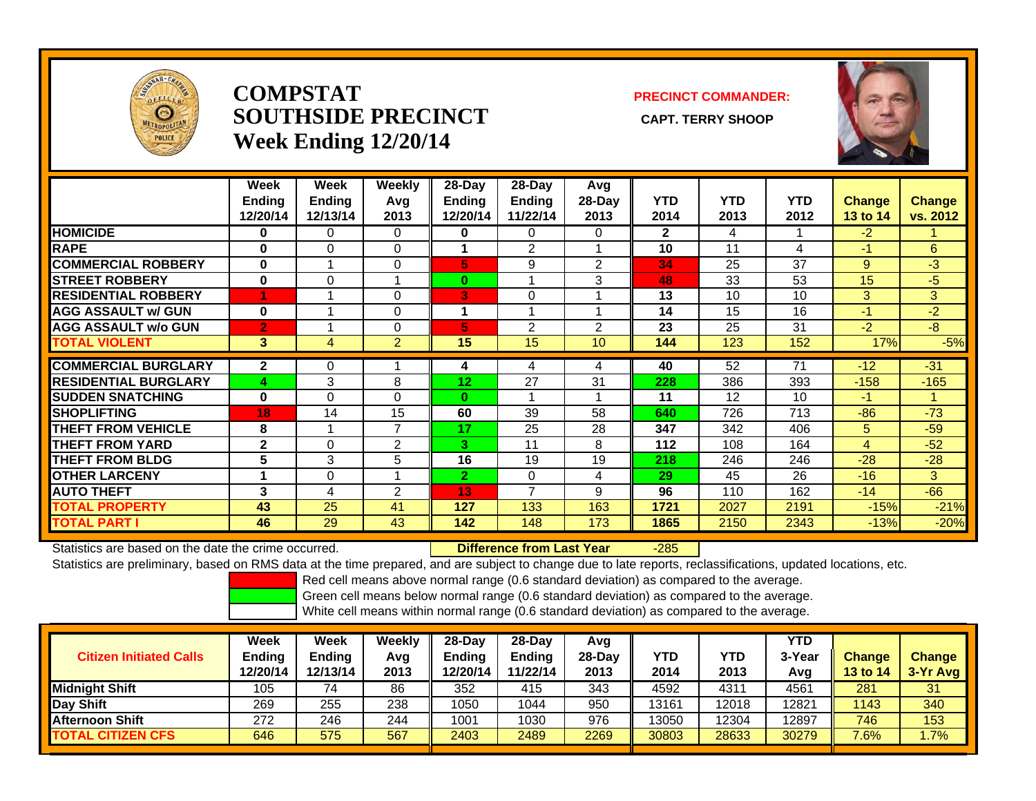

## **COMPSTATSOUTHSIDE PRECINCT** CAPT. TERRY SHOOP **Week Ending 12/20/14**

## **PRECINCT COMMANDER:**



|                             | Week<br><b>Ending</b><br>12/20/14 | Week<br><b>Ending</b><br>12/13/14 | Weekly<br>Avg<br>2013 | $28$ -Day<br>Ending<br>12/20/14 | $28-Day$<br><b>Ending</b><br>11/22/14 | Avg<br>28-Day<br>2013 | <b>YTD</b><br>2014 | <b>YTD</b><br>2013 | <b>YTD</b><br>2012 | <b>Change</b><br>13 to 14 | <b>Change</b><br>vs. 2012 |
|-----------------------------|-----------------------------------|-----------------------------------|-----------------------|---------------------------------|---------------------------------------|-----------------------|--------------------|--------------------|--------------------|---------------------------|---------------------------|
| <b>HOMICIDE</b>             | 0                                 | 0                                 | $\Omega$              | 0                               | 0                                     | 0                     | $\mathbf{2}$       | 4                  |                    | $-2$                      |                           |
| <b>RAPE</b>                 | $\bf{0}$                          | $\Omega$                          | 0                     |                                 | 2                                     | и                     | 10                 | 11                 | 4                  | $-1$                      | 6                         |
| <b>COMMERCIAL ROBBERY</b>   | $\bf{0}$                          |                                   | 0                     | 5                               | 9                                     | 2                     | 34                 | 25                 | 37                 | 9                         | $-3$                      |
| <b>STREET ROBBERY</b>       | $\bf{0}$                          | $\Omega$                          |                       | $\bf{0}$                        |                                       | 3                     | 48                 | 33                 | 53                 | 15                        | $-5$                      |
| <b>RESIDENTIAL ROBBERY</b>  |                                   |                                   | 0                     | 3                               | 0                                     |                       | 13                 | 10                 | 10                 | 3                         | 3                         |
| <b>AGG ASSAULT w/ GUN</b>   | $\bf{0}$                          |                                   | 0                     | 1                               |                                       | $\overline{A}$        | 14                 | 15                 | 16                 | -1                        | $-2$                      |
| <b>AGG ASSAULT w/o GUN</b>  | $\overline{2}$                    |                                   | 0                     | 5                               | $\overline{2}$                        | 2                     | 23                 | 25                 | 31                 | $-2$                      | $-8$                      |
| <b>TOTAL VIOLENT</b>        | 3                                 | 4                                 | $\overline{2}$        | 15                              | 15                                    | 10                    | 144                | 123                | 152                | 17%                       | $-5%$                     |
| <b>COMMERCIAL BURGLARY</b>  | $\mathbf{2}$                      | 0                                 |                       | 4                               | 4                                     | 4                     | 40                 | 52                 | 71                 | $-12$                     | $-31$                     |
| <b>RESIDENTIAL BURGLARY</b> | 4                                 | 3                                 | 8                     | 12                              | 27                                    | 31                    | 228                | 386                | 393                | $-158$                    | $-165$                    |
| <b>ISUDDEN SNATCHING</b>    | $\bf{0}$                          | 0                                 | 0                     | $\bf{0}$                        |                                       |                       | 11                 | 12                 | 10                 | -1                        | и                         |
| <b>SHOPLIFTING</b>          | 18                                | 14                                | 15                    | 60                              | 39                                    | 58                    | 640                | 726                | 713                | $-86$                     | $-73$                     |
| <b>THEFT FROM VEHICLE</b>   | 8                                 |                                   | 7                     | 17                              | 25                                    | 28                    | 347                | 342                | 406                | 5                         | $-59$                     |
| <b>THEFT FROM YARD</b>      | $\mathbf{2}$                      | 0                                 | 2                     | 3.                              | 11                                    | 8                     | 112                | 108                | 164                | 4                         | $-52$                     |
| <b>THEFT FROM BLDG</b>      | 5                                 | 3                                 | 5                     | 16                              | 19                                    | 19                    | 218                | 246                | 246                | $-28$                     | $-28$                     |
| <b>OTHER LARCENY</b>        |                                   | $\Omega$                          |                       | $\overline{2}$                  | $\Omega$                              | 4                     | 29                 | 45                 | 26                 | $-16$                     | 3                         |
| <b>AUTO THEFT</b>           | 3                                 | 4                                 | 2                     | 13                              | $\overline{\phantom{a}}$              | 9                     | 96                 | 110                | 162                | $-14$                     | $-66$                     |
| TOTAL PROPERTY              | 43                                | 25                                | 41                    | 127                             | 133                                   | 163                   | 1721               | 2027               | 2191               | $-15%$                    | $-21%$                    |
| TOTAL PART I                | 46                                | 29                                | 43                    | 142                             | 148                                   | 173                   | 1865               | 2150               | 2343               | $-13%$                    | $-20%$                    |

Statistics are based on the date the crime occurred. **Difference from Last Year** 

-285

Statistics are preliminary, based on RMS data at the time prepared, and are subject to change due to late reports, reclassifications, updated locations, etc.

Red cell means above normal range (0.6 standard deviation) as compared to the average.

Green cell means below normal range (0.6 standard deviation) as compared to the average.

| <b>Citizen Initiated Calls</b> | Week<br>Ending<br>12/20/14 | <b>Week</b><br><b>Ending</b><br>12/13/14 | Weekly<br>Avg<br>2013 | 28-Day<br><b>Ending</b><br>12/20/14 | 28-Dav<br><b>Ending</b><br>11/22/14 | Avg<br>28-Dav<br>2013 | YTD<br>2014 | YTD<br>2013 | YTD<br>3-Year<br>Avg | <b>Change</b><br>13 to 14 | <b>Change</b><br>3-Yr Avg |
|--------------------------------|----------------------------|------------------------------------------|-----------------------|-------------------------------------|-------------------------------------|-----------------------|-------------|-------------|----------------------|---------------------------|---------------------------|
| <b>Midnight Shift</b>          | 105                        |                                          | 86                    | 352                                 | 415                                 | 343                   | 4592        | 4311        | 4561                 | 281                       | 31                        |
| Day Shift                      | 269                        | 255                                      | 238                   | 1050                                | 1044                                | 950                   | 13161       | 12018       | 12821                | 1143                      | 340                       |
| <b>Afternoon Shift</b>         | 272                        | 246                                      | 244                   | 1001                                | 1030                                | 976                   | 13050       | 12304       | 12897                | 746                       | 153                       |
| <b>TOTAL CITIZEN CFS</b>       | 646                        | 575                                      | 567                   | 2403                                | 2489                                | 2269                  | 30803       | 28633       | 30279                | 7.6%                      | $.7\%$                    |